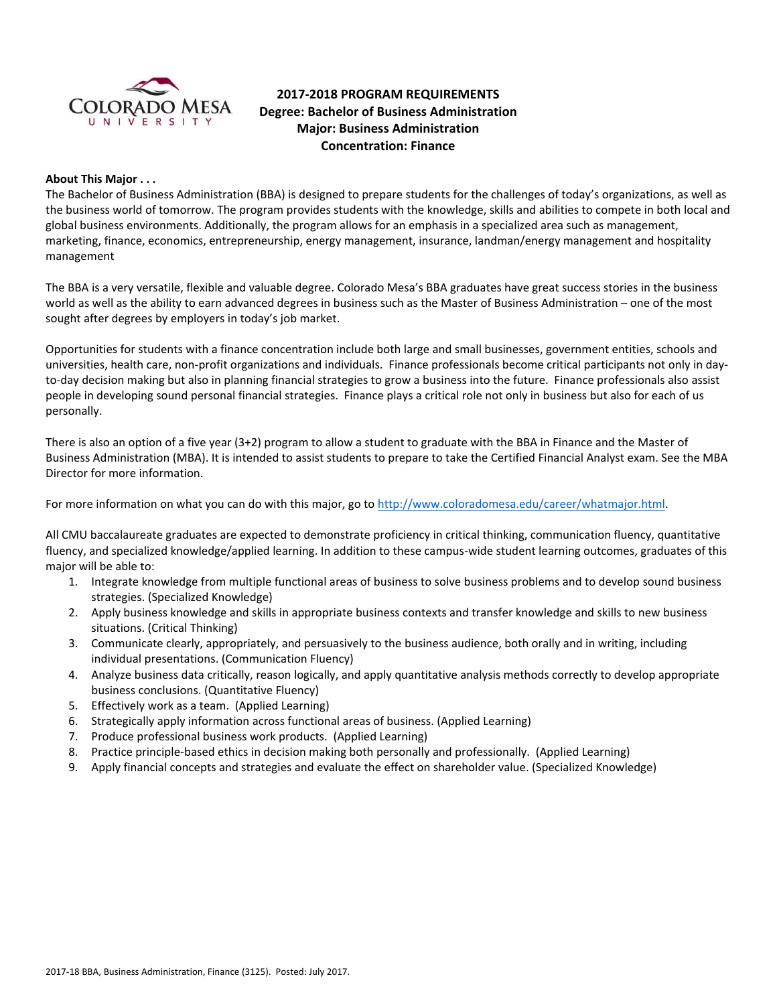

# **2017-2018 PROGRAM REQUIREMENTS Degree: Bachelor of Business Administration Major: Business Administration Concentration: Finance**

## **About This Major . . .**

The Bachelor of Business Administration (BBA) is designed to prepare students for the challenges of today's organizations, as well as the business world of tomorrow. The program provides students with the knowledge, skills and abilities to compete in both local and global business environments. Additionally, the program allows for an emphasis in a specialized area such as management, marketing, finance, economics, entrepreneurship, energy management, insurance, landman/energy management and hospitality management

The BBA is a very versatile, flexible and valuable degree. Colorado Mesa's BBA graduates have great success stories in the business world as well as the ability to earn advanced degrees in business such as the Master of Business Administration – one of the most sought after degrees by employers in today's job market.

Opportunities for students with a finance concentration include both large and small businesses, government entities, schools and universities, health care, non-profit organizations and individuals. Finance professionals become critical participants not only in dayto-day decision making but also in planning financial strategies to grow a business into the future. Finance professionals also assist people in developing sound personal financial strategies. Finance plays a critical role not only in business but also for each of us personally.

There is also an option of a five year (3+2) program to allow a student to graduate with the BBA in Finance and the Master of Business Administration (MBA). It is intended to assist students to prepare to take the Certified Financial Analyst exam. See the MBA Director for more information.

For more information on what you can do with this major, go t[o http://www.coloradomesa.edu/career/whatmajor.html.](http://www.coloradomesa.edu/career/whatmajor.html)

All CMU baccalaureate graduates are expected to demonstrate proficiency in critical thinking, communication fluency, quantitative fluency, and specialized knowledge/applied learning. In addition to these campus-wide student learning outcomes, graduates of this major will be able to:

- 1. Integrate knowledge from multiple functional areas of business to solve business problems and to develop sound business strategies. (Specialized Knowledge)
- 2. Apply business knowledge and skills in appropriate business contexts and transfer knowledge and skills to new business situations. (Critical Thinking)
- 3. Communicate clearly, appropriately, and persuasively to the business audience, both orally and in writing, including individual presentations. (Communication Fluency)
- 4. Analyze business data critically, reason logically, and apply quantitative analysis methods correctly to develop appropriate business conclusions. (Quantitative Fluency)
- 5. Effectively work as a team. (Applied Learning)
- 6. Strategically apply information across functional areas of business. (Applied Learning)
- 7. Produce professional business work products. (Applied Learning)
- 8. Practice principle-based ethics in decision making both personally and professionally. (Applied Learning)
- 9. Apply financial concepts and strategies and evaluate the effect on shareholder value. (Specialized Knowledge)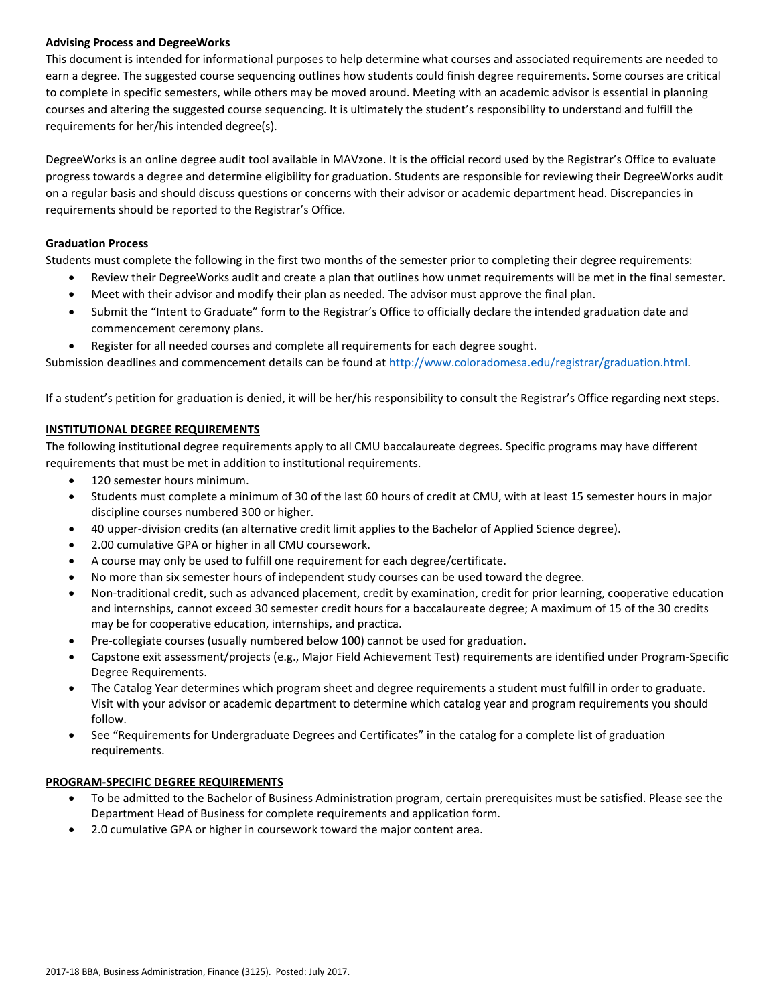# **Advising Process and DegreeWorks**

This document is intended for informational purposes to help determine what courses and associated requirements are needed to earn a degree. The suggested course sequencing outlines how students could finish degree requirements. Some courses are critical to complete in specific semesters, while others may be moved around. Meeting with an academic advisor is essential in planning courses and altering the suggested course sequencing. It is ultimately the student's responsibility to understand and fulfill the requirements for her/his intended degree(s).

DegreeWorks is an online degree audit tool available in MAVzone. It is the official record used by the Registrar's Office to evaluate progress towards a degree and determine eligibility for graduation. Students are responsible for reviewing their DegreeWorks audit on a regular basis and should discuss questions or concerns with their advisor or academic department head. Discrepancies in requirements should be reported to the Registrar's Office.

# **Graduation Process**

Students must complete the following in the first two months of the semester prior to completing their degree requirements:

- Review their DegreeWorks audit and create a plan that outlines how unmet requirements will be met in the final semester.
- Meet with their advisor and modify their plan as needed. The advisor must approve the final plan.
- Submit the "Intent to Graduate" form to the Registrar's Office to officially declare the intended graduation date and commencement ceremony plans.
- Register for all needed courses and complete all requirements for each degree sought.

Submission deadlines and commencement details can be found at [http://www.coloradomesa.edu/registrar/graduation.html.](http://www.coloradomesa.edu/registrar/graduation.html)

If a student's petition for graduation is denied, it will be her/his responsibility to consult the Registrar's Office regarding next steps.

# **INSTITUTIONAL DEGREE REQUIREMENTS**

The following institutional degree requirements apply to all CMU baccalaureate degrees. Specific programs may have different requirements that must be met in addition to institutional requirements.

- 120 semester hours minimum.
- Students must complete a minimum of 30 of the last 60 hours of credit at CMU, with at least 15 semester hours in major discipline courses numbered 300 or higher.
- 40 upper-division credits (an alternative credit limit applies to the Bachelor of Applied Science degree).
- 2.00 cumulative GPA or higher in all CMU coursework.
- A course may only be used to fulfill one requirement for each degree/certificate.
- No more than six semester hours of independent study courses can be used toward the degree.
- Non-traditional credit, such as advanced placement, credit by examination, credit for prior learning, cooperative education and internships, cannot exceed 30 semester credit hours for a baccalaureate degree; A maximum of 15 of the 30 credits may be for cooperative education, internships, and practica.
- Pre-collegiate courses (usually numbered below 100) cannot be used for graduation.
- Capstone exit assessment/projects (e.g., Major Field Achievement Test) requirements are identified under Program-Specific Degree Requirements.
- The Catalog Year determines which program sheet and degree requirements a student must fulfill in order to graduate. Visit with your advisor or academic department to determine which catalog year and program requirements you should follow.
- See "Requirements for Undergraduate Degrees and Certificates" in the catalog for a complete list of graduation requirements.

# **PROGRAM-SPECIFIC DEGREE REQUIREMENTS**

- To be admitted to the Bachelor of Business Administration program, certain prerequisites must be satisfied. Please see the Department Head of Business for complete requirements and application form.
- 2.0 cumulative GPA or higher in coursework toward the major content area.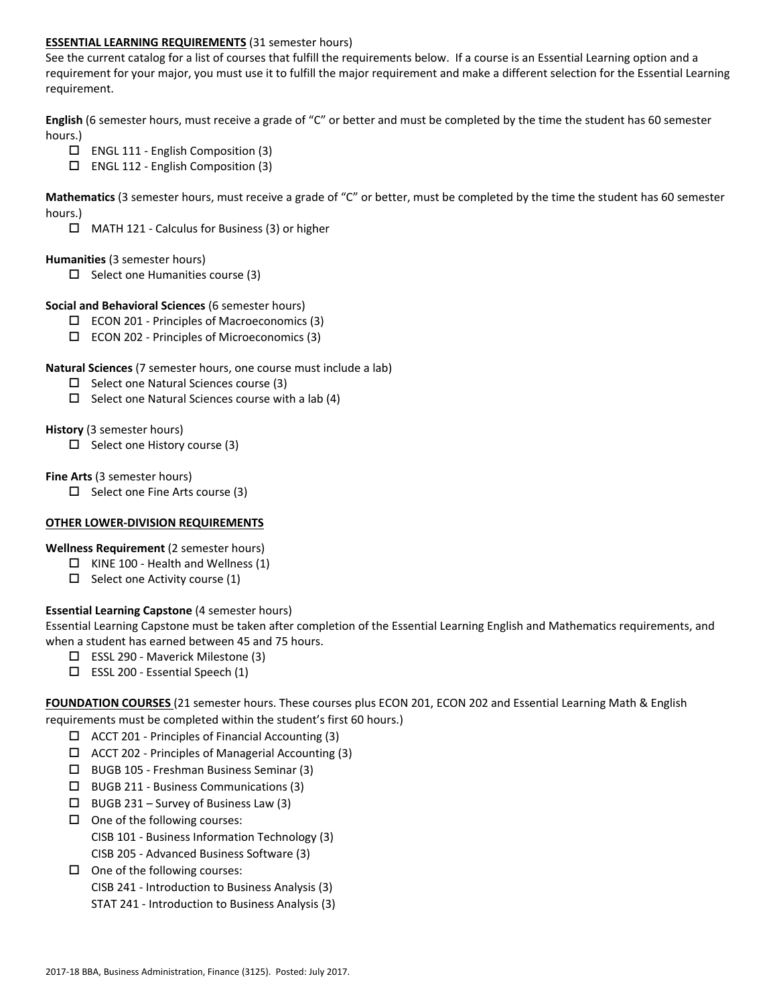# **ESSENTIAL LEARNING REQUIREMENTS** (31 semester hours)

See the current catalog for a list of courses that fulfill the requirements below. If a course is an Essential Learning option and a requirement for your major, you must use it to fulfill the major requirement and make a different selection for the Essential Learning requirement.

**English** (6 semester hours, must receive a grade of "C" or better and must be completed by the time the student has 60 semester hours.)

- ENGL 111 English Composition (3)
- $\square$  ENGL 112 English Composition (3)

**Mathematics** (3 semester hours, must receive a grade of "C" or better, must be completed by the time the student has 60 semester hours.)

 $\Box$  MATH 121 - Calculus for Business (3) or higher

### **Humanities** (3 semester hours)

 $\Box$  Select one Humanities course (3)

## **Social and Behavioral Sciences** (6 semester hours)

- $\Box$  ECON 201 Principles of Macroeconomics (3)
- $\square$  ECON 202 Principles of Microeconomics (3)

## **Natural Sciences** (7 semester hours, one course must include a lab)

- $\square$  Select one Natural Sciences course (3)
- $\Box$  Select one Natural Sciences course with a lab (4)

## **History** (3 semester hours)

 $\Box$  Select one History course (3)

## **Fine Arts** (3 semester hours)

 $\Box$  Select one Fine Arts course (3)

# **OTHER LOWER-DIVISION REQUIREMENTS**

**Wellness Requirement** (2 semester hours)

- $\Box$  KINE 100 Health and Wellness (1)
- $\Box$  Select one Activity course (1)

# **Essential Learning Capstone** (4 semester hours)

Essential Learning Capstone must be taken after completion of the Essential Learning English and Mathematics requirements, and when a student has earned between 45 and 75 hours.

- ESSL 290 Maverick Milestone (3)
- $\Box$  ESSL 200 Essential Speech (1)

**FOUNDATION COURSES** (21 semester hours. These courses plus ECON 201, ECON 202 and Essential Learning Math & English requirements must be completed within the student's first 60 hours.)

- $\Box$  ACCT 201 Principles of Financial Accounting (3)
- $\Box$  ACCT 202 Principles of Managerial Accounting (3)
- BUGB 105 Freshman Business Seminar (3)
- BUGB 211 Business Communications (3)
- $\Box$  BUGB 231 Survey of Business Law (3)
- $\Box$  One of the following courses: CISB 101 - Business Information Technology (3) CISB 205 - Advanced Business Software (3)
- $\Box$  One of the following courses: CISB 241 - Introduction to Business Analysis (3) STAT 241 - Introduction to Business Analysis (3)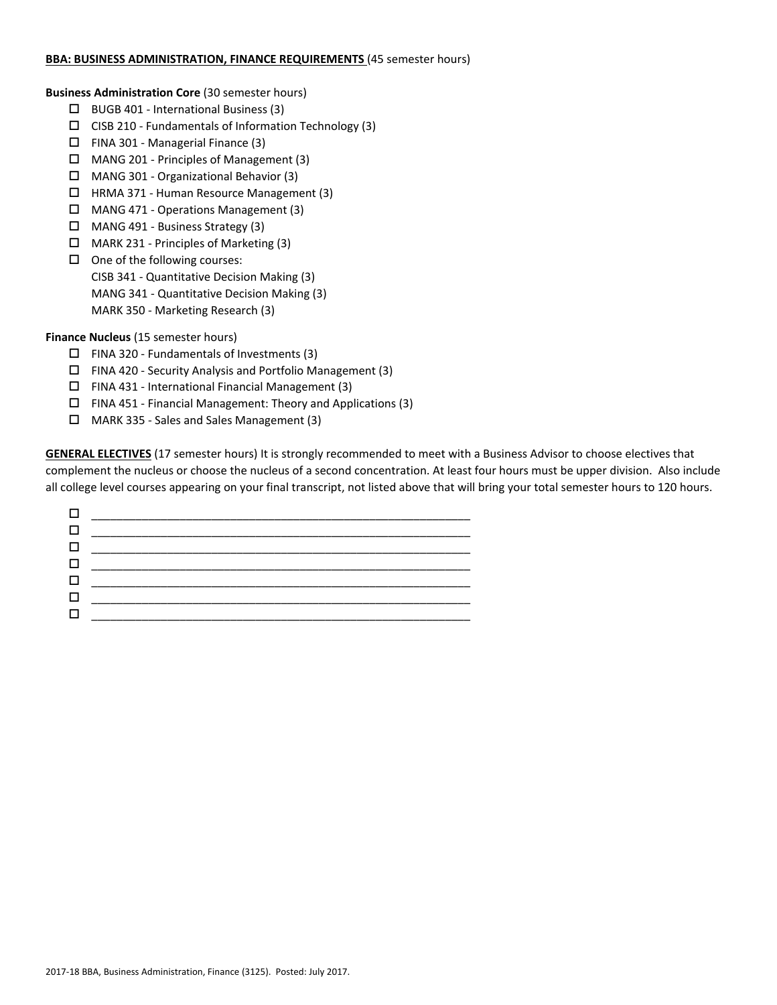## **BBA: BUSINESS ADMINISTRATION, FINANCE REQUIREMENTS** (45 semester hours)

**Business Administration Core** (30 semester hours)

- $\Box$  BUGB 401 International Business (3)
- $\square$  CISB 210 Fundamentals of Information Technology (3)
- $\Box$  FINA 301 Managerial Finance (3)
- MANG 201 Principles of Management (3)
- MANG 301 Organizational Behavior (3)
- HRMA 371 Human Resource Management (3)
- MANG 471 Operations Management (3)
- MANG 491 Business Strategy (3)
- MARK 231 Principles of Marketing (3)
- $\Box$  One of the following courses: CISB 341 - Quantitative Decision Making (3) MANG 341 - Quantitative Decision Making (3) MARK 350 - Marketing Research (3)

**Finance Nucleus** (15 semester hours)

- $\Box$  FINA 320 Fundamentals of Investments (3)
- FINA 420 Security Analysis and Portfolio Management (3)
- $\square$  FINA 431 International Financial Management (3)
- FINA 451 Financial Management: Theory and Applications (3)
- MARK 335 Sales and Sales Management (3)

**GENERAL ELECTIVES** (17 semester hours) It is strongly recommended to meet with a Business Advisor to choose electives that complement the nucleus or choose the nucleus of a second concentration. At least four hours must be upper division. Also include all college level courses appearing on your final transcript, not listed above that will bring your total semester hours to 120 hours.

| $\perp$ |  |
|---------|--|
|         |  |
| $\Box$  |  |
|         |  |
| ⊔       |  |
|         |  |